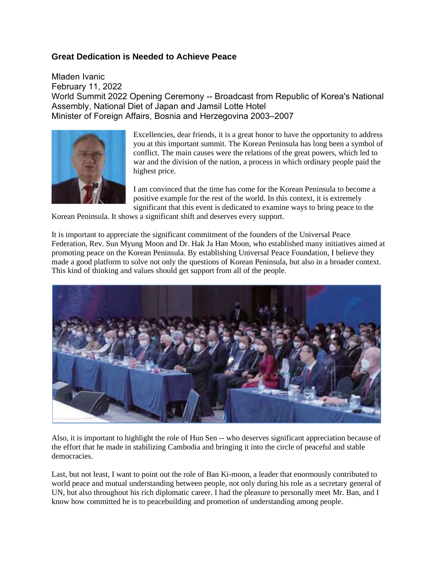## **Great Dedication is Needed to Achieve Peace**

Mladen Ivanic February 11, 2022 World Summit 2022 Opening Ceremony -- Broadcast from Republic of Korea's National Assembly, National Diet of Japan and Jamsil Lotte Hotel Minister of Foreign Affairs, Bosnia and Herzegovina 2003–2007



Excellencies, dear friends, it is a great honor to have the opportunity to address you at this important summit. The Korean Peninsula has long been a symbol of conflict. The main causes were the relations of the great powers, which led to war and the division of the nation, a process in which ordinary people paid the highest price.

I am convinced that the time has come for the Korean Peninsula to become a positive example for the rest of the world. In this context, it is extremely significant that this event is dedicated to examine ways to bring peace to the

Korean Peninsula. It shows a significant shift and deserves every support.

It is important to appreciate the significant commitment of the founders of the Universal Peace Federation, Rev. Sun Myung Moon and Dr. Hak Ja Han Moon, who established many initiatives aimed at promoting peace on the Korean Peninsula. By establishing Universal Peace Foundation, I believe they made a good platform to solve not only the questions of Korean Peninsula, but also in a broader context. This kind of thinking and values should get support from all of the people.



Also, it is important to highlight the role of Hun Sen -- who deserves significant appreciation because of the effort that he made in stabilizing Cambodia and bringing it into the circle of peaceful and stable democracies.

Last, but not least, I want to point out the role of Ban Ki-moon, a leader that enormously contributed to world peace and mutual understanding between people, not only during his role as a secretary general of UN, but also throughout his rich diplomatic career. I had the pleasure to personally meet Mr. Ban, and I know how committed he is to peacebuilding and promotion of understanding among people.